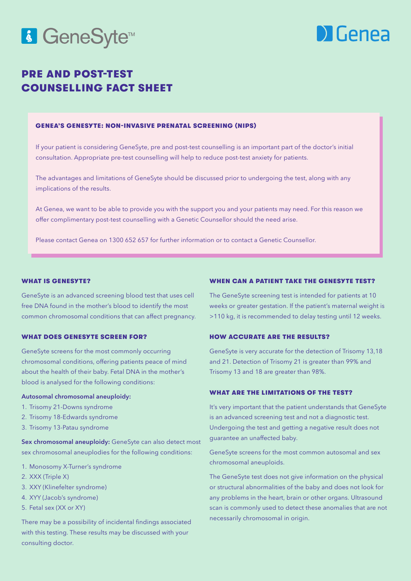# 6 GeneSyte<sup>™</sup>



# PRE AND POST-TEST COUNSELLING FACT SHEET

#### GENEA'S GENESYTE: NON-INVASIVE PRENATAL SCREENING (NIPS)

If your patient is considering GeneSyte, pre and post-test counselling is an important part of the doctor's initial consultation. Appropriate pre-test counselling will help to reduce post-test anxiety for patients.

The advantages and limitations of GeneSyte should be discussed prior to undergoing the test, along with any implications of the results.

At Genea, we want to be able to provide you with the support you and your patients may need. For this reason we offer complimentary post-test counselling with a Genetic Counsellor should the need arise.

Please contact Genea on 1300 652 657 for further information or to contact a Genetic Counsellor.

#### WHAT IS GENESYTE?

GeneSyte is an advanced screening blood test that uses cell free DNA found in the mother's blood to identify the most common chromosomal conditions that can affect pregnancy.

#### WHAT DOES GENESYTE SCREEN FOR?

GeneSyte screens for the most commonly occurring chromosomal conditions, offering patients peace of mind about the health of their baby. Fetal DNA in the mother's blood is analysed for the following conditions:

#### Autosomal chromosomal aneuploidy:

- 1. Trisomy 21-Downs syndrome
- 2. Trisomy 18-Edwards syndrome
- 3. Trisomy 13-Patau syndrome

Sex chromosomal aneuploidy: GeneSyte can also detect most sex chromosomal aneuplodies for the following conditions:

- 1. Monosomy X-Turner's syndrome
- 2. XXX (Triple X)
- 3. XXY (Klinefelter syndrome)
- 4. XYY (Jacob's syndrome)
- 5. Fetal sex (XX or XY)

There may be a possibility of incidental findings associated with this testing. These results may be discussed with your consulting doctor.

#### WHEN CAN A PATIENT TAKE THE GENESYTE TEST?

The GeneSyte screening test is intended for patients at 10 weeks or greater gestation. If the patient's maternal weight is >110 kg, it is recommended to delay testing until 12 weeks.

#### HOW ACCURATE ARE THE RESULTS?

GeneSyte is very accurate for the detection of Trisomy 13,18 and 21. Detection of Trisomy 21 is greater than 99% and Trisomy 13 and 18 are greater than 98%.

### WHAT ARE THE LIMITATIONS OF THE TEST?

It's very important that the patient understands that GeneSyte is an advanced screening test and not a diagnostic test. Undergoing the test and getting a negative result does not guarantee an unaffected baby.

GeneSyte screens for the most common autosomal and sex chromosomal aneuploids.

The GeneSyte test does not give information on the physical or structural abnormalities of the baby and does not look for any problems in the heart, brain or other organs. Ultrasound scan is commonly used to detect these anomalies that are not necessarily chromosomal in origin.